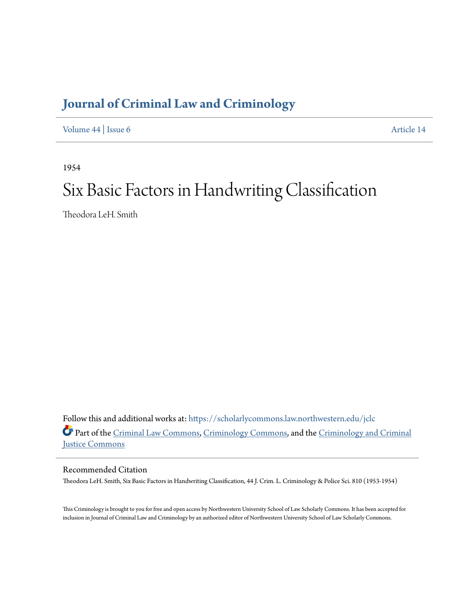# **[Journal of Criminal Law and Criminology](https://scholarlycommons.law.northwestern.edu/jclc?utm_source=scholarlycommons.law.northwestern.edu%2Fjclc%2Fvol44%2Fiss6%2F14&utm_medium=PDF&utm_campaign=PDFCoverPages)**

[Volume 44](https://scholarlycommons.law.northwestern.edu/jclc/vol44?utm_source=scholarlycommons.law.northwestern.edu%2Fjclc%2Fvol44%2Fiss6%2F14&utm_medium=PDF&utm_campaign=PDFCoverPages) | [Issue 6](https://scholarlycommons.law.northwestern.edu/jclc/vol44/iss6?utm_source=scholarlycommons.law.northwestern.edu%2Fjclc%2Fvol44%2Fiss6%2F14&utm_medium=PDF&utm_campaign=PDFCoverPages) [Article 14](https://scholarlycommons.law.northwestern.edu/jclc/vol44/iss6/14?utm_source=scholarlycommons.law.northwestern.edu%2Fjclc%2Fvol44%2Fiss6%2F14&utm_medium=PDF&utm_campaign=PDFCoverPages)

1954

# Six Basic Factors in Handwriting Classification

Theodora LeH. Smith

Follow this and additional works at: [https://scholarlycommons.law.northwestern.edu/jclc](https://scholarlycommons.law.northwestern.edu/jclc?utm_source=scholarlycommons.law.northwestern.edu%2Fjclc%2Fvol44%2Fiss6%2F14&utm_medium=PDF&utm_campaign=PDFCoverPages) Part of the [Criminal Law Commons](http://network.bepress.com/hgg/discipline/912?utm_source=scholarlycommons.law.northwestern.edu%2Fjclc%2Fvol44%2Fiss6%2F14&utm_medium=PDF&utm_campaign=PDFCoverPages), [Criminology Commons](http://network.bepress.com/hgg/discipline/417?utm_source=scholarlycommons.law.northwestern.edu%2Fjclc%2Fvol44%2Fiss6%2F14&utm_medium=PDF&utm_campaign=PDFCoverPages), and the [Criminology and Criminal](http://network.bepress.com/hgg/discipline/367?utm_source=scholarlycommons.law.northwestern.edu%2Fjclc%2Fvol44%2Fiss6%2F14&utm_medium=PDF&utm_campaign=PDFCoverPages) [Justice Commons](http://network.bepress.com/hgg/discipline/367?utm_source=scholarlycommons.law.northwestern.edu%2Fjclc%2Fvol44%2Fiss6%2F14&utm_medium=PDF&utm_campaign=PDFCoverPages)

Recommended Citation

Theodora LeH. Smith, Six Basic Factors in Handwriting Classification, 44 J. Crim. L. Criminology & Police Sci. 810 (1953-1954)

This Criminology is brought to you for free and open access by Northwestern University School of Law Scholarly Commons. It has been accepted for inclusion in Journal of Criminal Law and Criminology by an authorized editor of Northwestern University School of Law Scholarly Commons.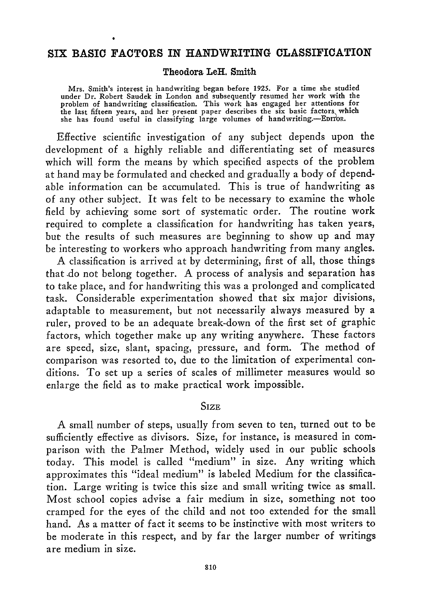#### **SIX BASIC FACTORS IN HANDWRITING CLASSIFICATION**

#### **Theodora LeH. Smith**

**Mrs. Smith's interest in handwriting began before 1925. For a time she studied under Dr. Robert Saudek in London and subsequently resumed her work with the problem of handwriting classification. This work has engaged her attentions for** the last fifteen years, and her present paper describes the six basic factors which<br>she has found useful in classifying large volumes of handwriting.--EDITOR.

Effective scientific investigation of any subject depends upon the development of a **highly** reliable and differentiating set of measures which will form the means **by** which specified aspects of the problem at hand may be formulated and checked and gradually a body of dependable information can **be** accumulated. This is true of handwriting as of any other subject. It was felt to be necessary to examine the whole field **by** achieving some sort of systematic order. The routine work required to complete a classification for handwriting has taken years, but the results of such measures are beginning to show up and may be interesting to workers who approach handwriting from many angles.

**A** classification is arrived at **by** determining, first of all, those things that **-do** not belong together. **A** process of analysis and separation has to take place, and for handwriting this was a prolonged and complicated task. Considerable experimentation showed that six major divisions, adaptable to measurement, but not necessarily always measured **by** a ruler, proved to **be** an adequate break-down of the first set of graphic factors, which together make up any writing anywhere. These factors are speed, size, slant, spacing, pressure, and form. The method of comparison was resorted to, due to the limitation of experimental conditions. To set up a series of scales of millimeter measures would so enlarge the field as to make practical work impossible.

#### **SIZE**

A small number of steps, usually from seven to ten, turned out to be sufficiently effective as divisors. Size, for instance, is measured in comparison with the Palmer Method, widely used in our public schools today. This model is called "medium" in size. Any writing which approximates this "ideal medium" is labeled Medium for the classification. Large writing is twice this size and small writing twice as small. Most school copies advise a fair medium in size, something not too cramped for the eyes of the child and not too extended for the small hand. As a matter of fact it seems to be instinctive with most writers to be moderate in this respect, and by far the larger number of writings are medium in size.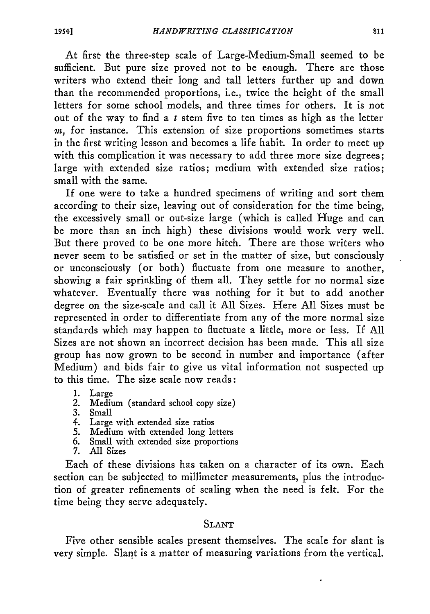At first the three-step scale of Large-Medium-Small seemed to be sufficient. But pure size proved not to be enough. There are those writers who extend their long and tall letters further up and down than the recommended proportions, i.e., twice the height of the small letters for some school models, and three times for others. It is not out of the way to find a  $t$  stem five to ten times as high as the letter *in,* for instance. This extension of size proportions sometimes starts in the first writing lesson and becomes a life habit. In order to meet up with this complication it was necessary to add three more size degrees; large with extended size ratios; medium with extended size ratios; small with the same.

If one were to take a hundred specimens of writing and sort them according to their size, leaving out of consideration for the time being, the excessively small or out-size large (which is called Huge and can be more than an inch high) these divisions would work very well. But there proved to be one more hitch. There are those writers who never seem to be satisfied or set in the matter of size, but consciously or unconsciously (or both) fluctuate from one measure to another, showing a fair sprinkling of them all. They settle for no normal size whatever. Eventually there was nothing for it but to add another degree on the size-scale and call it **All** Sizes. Here All Sizes must be represented in order to differentiate from any of the more normal size standards which may happen to fluctuate a little, more or less. If **All** Sizes are not shown an incorrect decision has been made. This all size group has now grown to be second in number and importance (after Medium) and bids fair to give us vital information not suspected up to this time. The size scale now reads:

- 1. Large
- 2. Medium (standard school copy size)
- 3. Small
- 4. Large with extended size ratios
- 5. Medium with extended long letters
- 6. Small with extended size proportions
- 7. All Sizes

Each of these divisions has taken on a character of its own. Each section can be subjected to millimeter measurements, plus the introduction of greater refinements of scaling when the need is felt. For the time being they serve adequately.

# SLANT

Five other sensible scales present themselves. The scale for slant is very simple. Slant is a matter of measuring variations from the vertical.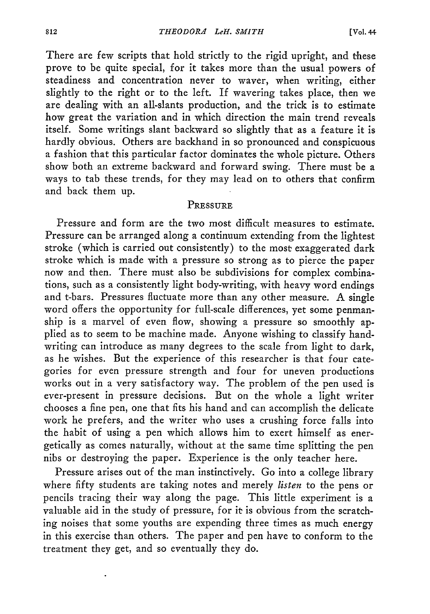There are few scripts that hold strictly to the rigid upright, and these prove to be quite special, for it takes more than the usual powers of steadiness and concentration never to waver, when writing, either slightly to the right or to the left. If wavering takes place, then we are dealing with an all-slants production, and the trick is to estimate how great the variation and in which direction the main trend reveals itself. Some writings slant backward so slightly that as a feature it is hardly obvious. Others are backhand in so pronounced and conspicuous a fashion that this particular factor dominates the whole picture. Others show both an extreme backward and forward swing. There must be a ways to tab these trends, for they may lead on to others that confirm and back them up.

# **PRESSURE**

Pressure and form are the two most difficult measures to estimate. Pressure can be arranged along a continuum extending from the lightest stroke (which is carried out consistently) to the most exaggerated dark stroke which is made with a pressure so strong as to pierce the paper now and then. There must also be subdivisions for complex combinations, such as a consistently light body-writing, with heavy word endings and t-bars. Pressures fluctuate more than any other measure. A single word offers the opportunity for full-scale differences, yet some penmanship is a marvel of even flow, showing a pressure so smoothly applied as to seem to be machine made. Anyone wishing to classify handwriting can introduce as many degrees to the scale from light to dark, as he wishes. But the experience of this researcher is that four categories for even pressure strength and four for uneven productions works out in a very satisfactory way. The problem of the pen used is ever-present in pressure decisions. But on the whole a light writer chooses a fine pen, one that fits his hand and can accomplish the delicate work he prefers, and the writer who uses a crushing force falls into the habit of using a pen which allows him to exert himself as energetically as comes naturally, without at the same time splitting the pen nibs or destroying the paper. Experience is the only teacher here.

Pressure arises out of the man instinctively. Go into a college library where fifty students are taking notes and merely *listen* to the pens or pencils tracing their way along the page. This little experiment is a valuable aid in the study of pressure, for it is obvious from the scratching noises that some youths are expending three times as much energy in this exercise than others. The paper and pen have to conform to the treatment they get, and so eventually they do.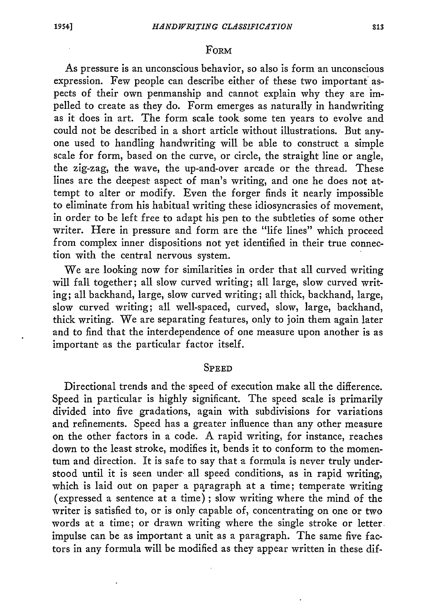#### FoRM

As pressure is an unconscious behavior, so also is form an unconscious expression. Few people can describe either of these two important aspects of their own penmanship and cannot explain why they are impelled to create as they do. Form emerges as naturally in handwriting as it does in art. The form scale took some ten years to evolve and could not be described in a short article without illustrations. But anyone used to handling handwriting will be able to construct a simple scale for form, based on the curve, or circle, the straight line or angle, the zig-zag, the wave, the up-and-over arcade or the thread. These lines are the deepest aspect of man's writing, and one he does not attempt to alter or modify. Even the forger finds it nearly impossible to eliminate from his habitual writing these idiosyncrasies of movement, in order to be left free to adapt his pen to the subtleties of some other writer. Here in pressure and form are the "life lines" which proceed from complex inner dispositions not yet identified in their true connection with the central nervous system.

We are looking now for similarities in order that all curved writing will fall together; all slow curved writing; all large, slow curved writing; all backhand, large, slow curved writing; all thick, backhand, large, slow curved writing; all well-spaced, curved, slow, large, backhand, thick writing. We are separating features, only to join them again later and to find that the interdependence of one measure upon another is as important as the particular factor itself.

#### **SPEED**

Directional trends and the speed of execution make all the difference. Speed in particular is highly significant. The speed scale is primarily divided into five gradations, again with subdivisions for variations and refinements. Speed has a greater influence than any other measure on the other factors in a code. A rapid writing, for instance, reaches down to the least stroke, modifies it, bends it to conform to the momentum and direction. It is safe to say that a formula is never truly understood until it is seen under all speed conditions, as in rapid writing, which is laid out on paper a paragraph at a time; temperate writing (expressed a sentence at a time) ; slow writing where the mind of the writer is satisfied to, or is only capable of, concentrating on one or two words at a time; or drawn writing where the single stroke or letter. impulse can be as important a unit as a paragraph. The same five factors in any formula will be modified as they appear written in these dif-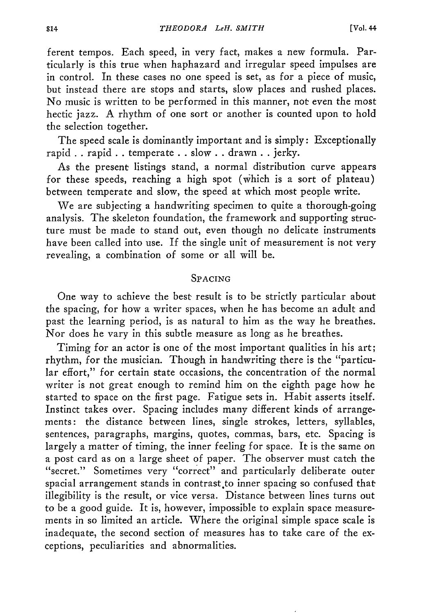ferent tempos. Each speed, in very fact, makes a new formula. Particularly is this true when haphazard and irregular speed impulses are in control. In these cases no one speed is set, as for a piece of music, but instead there are stops and starts, slow places and rushed places. No music is written to be performed in this manner, not even the most hectic jazz. A rhythm of one sort or another is counted upon to hold the selection together.

The speed scale is dominantly important and is simply: Exceptionally rapid . . rapid **. .** temperate . . slow **. .** drawn **. .** jerky.

As the present listings stand, a normal distribution curve appears for these speeds, reaching a high spot (which is a sort of plateau) between temperate and slow, the speed at which most people write.

We are subjecting a handwriting specimen to quite a thorough-going analysis. The skeleton foundation, the framework and supporting structure must be made to stand out, even though no delicate instruments have been called into use. If the single unit of measurement is not very revealing, a combination of some or all will be.

# SPACING

One way to achieve the best result is to be strictly particular about the spacing, for how a writer spaces, when he has become an adult and past the learning period, is as natural to him as the way he breathes. Nor does he vary in this subtle measure as long as he breathes.

Timing for an actor is one of the most important qualities in his art; rhythm, for the musician. Though in handwriting there is the "particular effort," for certain state occasions, the concentration of the normal writer is not great enough to remind him on the eighth page how he started to space on the first page. Fatigue sets in. Habit asserts itself. Instinct takes over. Spacing includes many different kinds of arrangements: the distance between lines, single strokes, letters, syllables, sentences, paragraphs, margins, quotes, commas, bars, etc. Spacing is largely a matter of timing, the inner feeling for space. It is the same on a post card as on a large sheet of paper. The observer must catch the "secret." Sometimes very "correct" and particularly deliberate outer spacial arrangement stands in contrast to inner spacing so confused that illegibility is the result, or vice versa. Distance between lines turns out to be a good guide. It is, however, impossible to explain space measurements in so limited an article. Where the original simple space scale is inadequate, the second section of measures has to take care of the exceptions, peculiarities and abnormalities.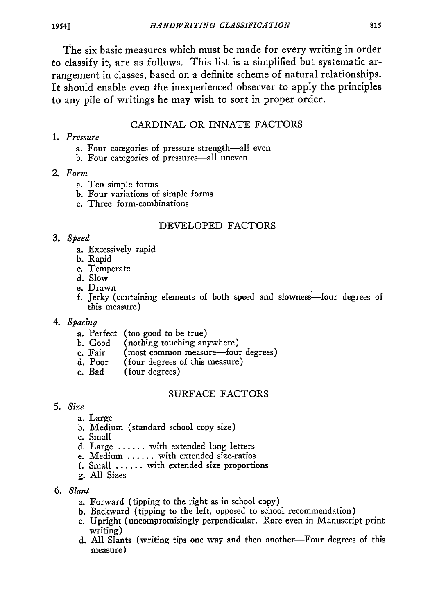The six basic measures which must be made for every writing in order to classify it, are as follows. This list is a simplified but systematic arrangement in classes, based on a definite scheme of natural relationships. It should enable even the inexperienced observer to apply the principles to any pile of writings he may wish to sort in proper order.

## CARDINAL OR INNATE FACTORS

#### *1. Pressure*

- a. Four categories of pressure strength-all even
- b. Four categories of pressures-all uneven
- *2. Form*
	- a. Ten simple forms
	- b. Four variations of simple forms
	- c. Three form-combinations

#### DEVELOPED FACTORS

# *3. Speed*

- a. Excessively rapid
- b. Rapid
- c. Temperate
- d. Slow
- e. Drawn
- f. jerky (containing elements of both speed and slowness-four degrees of this measure)
- *4. Spacing*
	- a. Perfect (too good to be true)<br>b. Good (nothing touching an
	- (nothing touching anywhere)
	- c. Fair (most common measure-four degrees)
	- d. Poor  $($ four degrees of this measure)<br>e. Bad  $($  four degrees)
	- (four degrees)

# **SURFACE** FACTORS

- *5. Size*
	- a. Large
	- b. Medium (standard school copy size)
	- c. Small
	- d. Large ...... with extended long letters
	- e. Medium ...... with extended size-ratios
	- f. Small ...... with extended size proportions
	- g. All Sizes
- *6. Slant*
	- a. Forward (tipping to the right as in school copy)
	- b. Backvard (tipping to the left, opposed to school recommendation)
	- c. Upright (uncompromisingly perpendicular. Rare even in Manuscript print writing)
	- d. All Slants (writing tips one way and then another-Four degrees of this measure)